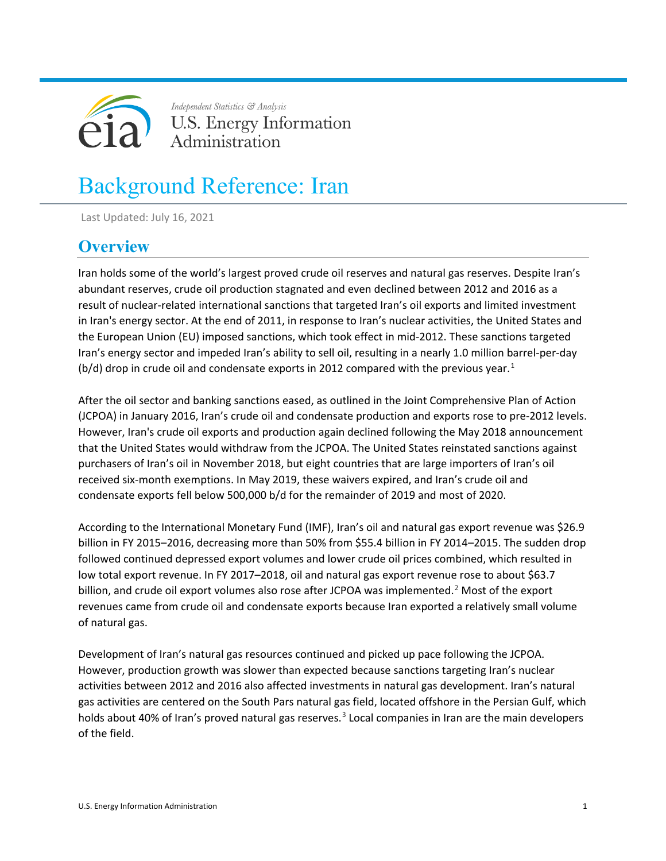

Independent Statistics & Analysis U.S. Energy Information Administration

# Background Reference: Iran

Last Updated: July 16, 2021

# **Overview**

Iran holds some of the world's largest proved crude oil reserves and natural gas reserves. Despite Iran's abundant reserves, crude oil production stagnated and even declined between 2012 and 2016 as a result of nuclear-related international sanctions that targeted Iran's oil exports and limited investment in Iran's energy sector. At the end of 2011, in response to Iran's nuclear activities, the United States and the European Union (EU) imposed sanctions, which took effect in mid-2012. These sanctions targeted Iran's energy sector and impeded Iran's ability to sell oil, resulting in a nearly 1.0 million barrel-per-day  $(b/d)$  drop in crude oil and condensate exports in 20[1](#page-13-0)2 compared with the previous year.<sup>1</sup>

After the oil sector and banking sanctions eased, as outlined in the Joint Comprehensive Plan of Action (JCPOA) in January 2016, Iran's crude oil and condensate production and exports rose to pre-2012 levels. However, Iran's crude oil exports and production again declined following the May 2018 announcement that the United States would withdraw from the JCPOA. The United States reinstated sanctions against purchasers of Iran's oil in November 2018, but eight countries that are large importers of Iran's oil received six-month exemptions. In May 2019, these waivers expired, and Iran's crude oil and condensate exports fell below 500,000 b/d for the remainder of 2019 and most of 2020.

According to the International Monetary Fund (IMF), Iran's oil and natural gas export revenue was \$26.9 billion in FY 2015–2016, decreasing more than 50% from \$55.4 billion in FY 2014–2015. The sudden drop followed continued depressed export volumes and lower crude oil prices combined, which resulted in low total export revenue. In FY 2017–2018, oil and natural gas export revenue rose to about \$63.7 billion, and crude oil export volumes also rose after JCPOA was implemented.<sup>[2](#page-13-1)</sup> Most of the export revenues came from crude oil and condensate exports because Iran exported a relatively small volume of natural gas.

Development of Iran's natural gas resources continued and picked up pace following the JCPOA. However, production growth was slower than expected because sanctions targeting Iran's nuclear activities between 2012 and 2016 also affected investments in natural gas development. Iran's natural gas activities are centered on the South Pars natural gas field, located offshore in the Persian Gulf, which holds about 40% of Iran's proved natural gas reserves.<sup>[3](#page-13-2)</sup> Local companies in Iran are the main developers of the field.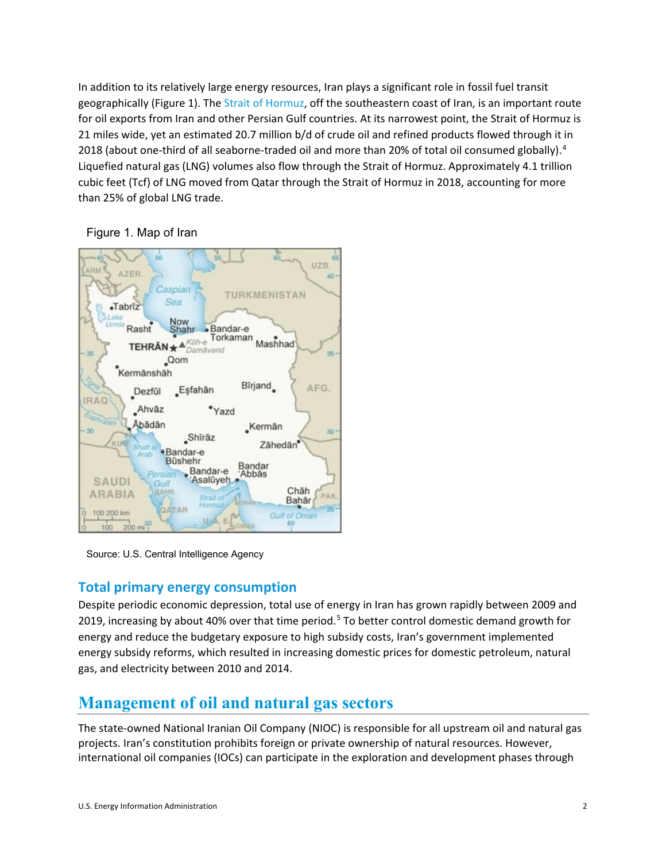In addition to its relatively large energy resources, Iran plays a significant role in fossil fuel transit geographically (Figure 1). The Strait of [Hormuz,](https://www.eia.gov/beta/international/regions-topics.cfm?RegionTopicID=WOTC) off the southeastern coast of Iran, is an important route for oil exports from Iran and other Persian Gulf countries. At its narrowest point, the Strait of Hormuz is 21 miles wide, yet an estimated 20.7 million b/d of crude oil and refined products flowed through it in 2018 (about one-third of all seaborne-traded oil and more than 20% of total oil consumed globally).<sup>[4](#page-13-3)</sup> Liquefied natural gas (LNG) volumes also flow through the Strait of Hormuz. Approximately 4.1 trillion cubic feet (Tcf) of LNG moved from Qatar through the Strait of Hormuz in 2018, accounting for more than 25% of global LNG trade.

#### Figure 1. Map of Iran



Source: U.S. Central Intelligence Agency

### **Total primary energy consumption**

Despite periodic economic depression, total use of energy in Iran has grown rapidly between 2009 and 2019, increasing by about 40% over that time period.<sup>[5](#page-13-4)</sup> To better control domestic demand growth for energy and reduce the budgetary exposure to high subsidy costs, Iran's government implemented energy subsidy reforms, which resulted in increasing domestic prices for domestic petroleum, natural gas, and electricity between 2010 and 2014.

# **Management of oil and natural gas sectors**

The state-owned National Iranian Oil Company (NIOC) is responsible for all upstream oil and natural gas projects. Iran's constitution prohibits foreign or private ownership of natural resources. However, international oil companies (IOCs) can participate in the exploration and development phases through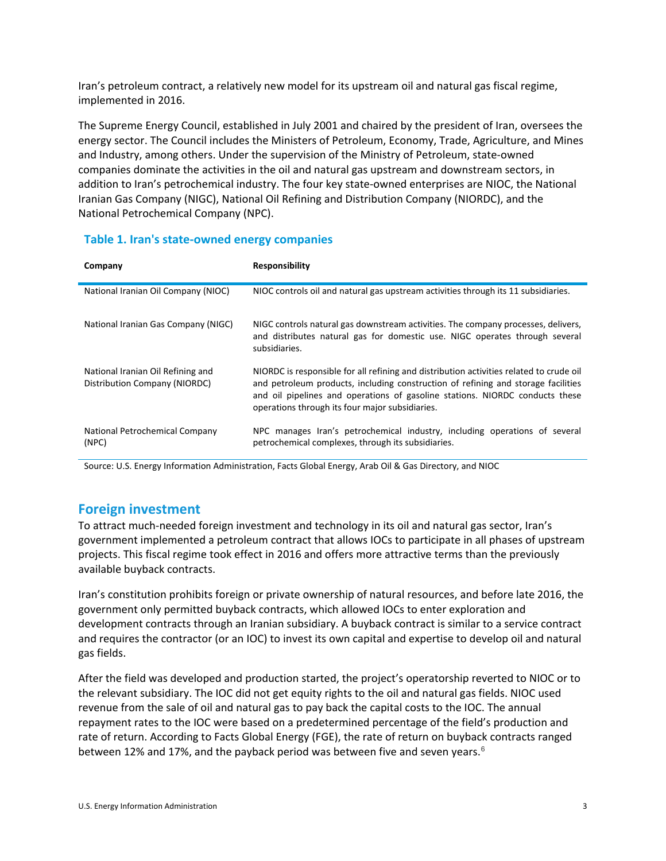Iran's petroleum contract, a relatively new model for its upstream oil and natural gas fiscal regime, implemented in 2016.

The Supreme Energy Council, established in July 2001 and chaired by the president of Iran, oversees the energy sector. The Council includes the Ministers of Petroleum, Economy, Trade, Agriculture, and Mines and Industry, among others. Under the supervision of the Ministry of Petroleum, state-owned companies dominate the activities in the oil and natural gas upstream and downstream sectors, in addition to Iran's petrochemical industry. The four key state-owned enterprises are NIOC, the National Iranian Gas Company (NIGC), National Oil Refining and Distribution Company (NIORDC), and the National Petrochemical Company (NPC).

#### **Table 1. Iran's state-owned energy companies**

| Company                                                            | <b>Responsibility</b>                                                                                                                                                                                                                                                                                           |
|--------------------------------------------------------------------|-----------------------------------------------------------------------------------------------------------------------------------------------------------------------------------------------------------------------------------------------------------------------------------------------------------------|
| National Iranian Oil Company (NIOC)                                | NIOC controls oil and natural gas upstream activities through its 11 subsidiaries.                                                                                                                                                                                                                              |
| National Iranian Gas Company (NIGC)                                | NIGC controls natural gas downstream activities. The company processes, delivers,<br>and distributes natural gas for domestic use. NIGC operates through several<br>subsidiaries.                                                                                                                               |
| National Iranian Oil Refining and<br>Distribution Company (NIORDC) | NIORDC is responsible for all refining and distribution activities related to crude oil<br>and petroleum products, including construction of refining and storage facilities<br>and oil pipelines and operations of gasoline stations. NIORDC conducts these<br>operations through its four major subsidiaries. |
| National Petrochemical Company<br>(NPC)                            | NPC manages Iran's petrochemical industry, including operations of several<br>petrochemical complexes, through its subsidiaries.                                                                                                                                                                                |

Source: U.S. Energy Information Administration, Facts Global Energy, Arab Oil & Gas Directory, and NIOC

### **Foreign investment**

To attract much-needed foreign investment and technology in its oil and natural gas sector, Iran's government implemented a petroleum contract that allows IOCs to participate in all phases of upstream projects. This fiscal regime took effect in 2016 and offers more attractive terms than the previously available buyback contracts.

Iran's constitution prohibits foreign or private ownership of natural resources, and before late 2016, the government only permitted buyback contracts, which allowed IOCs to enter exploration and development contracts through an Iranian subsidiary. A buyback contract is similar to a service contract and requires the contractor (or an IOC) to invest its own capital and expertise to develop oil and natural gas fields.

After the field was developed and production started, the project's operatorship reverted to NIOC or to the relevant subsidiary. The IOC did not get equity rights to the oil and natural gas fields. NIOC used revenue from the sale of oil and natural gas to pay back the capital costs to the IOC. The annual repayment rates to the IOC were based on a predetermined percentage of the field's production and rate of return. According to Facts Global Energy (FGE), the rate of return on buyback contracts ranged between 12% and 17%, and the payback period was between five and seven years.<sup>[6](#page-13-5)</sup>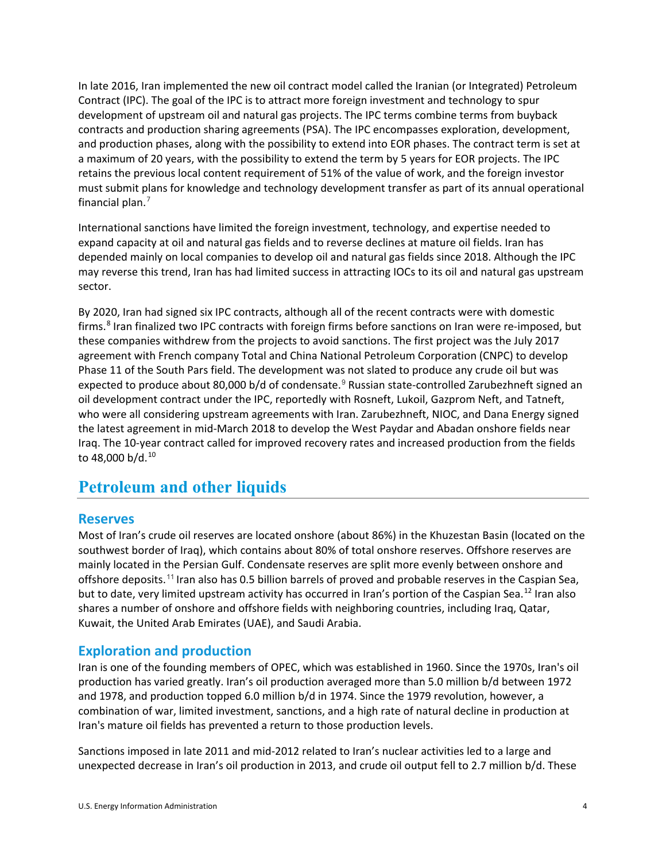In late 2016, Iran implemented the new oil contract model called the Iranian (or Integrated) Petroleum Contract (IPC). The goal of the IPC is to attract more foreign investment and technology to spur development of upstream oil and natural gas projects. The IPC terms combine terms from buyback contracts and production sharing agreements (PSA). The IPC encompasses exploration, development, and production phases, along with the possibility to extend into EOR phases. The contract term is set at a maximum of 20 years, with the possibility to extend the term by 5 years for EOR projects. The IPC retains the previous local content requirement of 51% of the value of work, and the foreign investor must submit plans for knowledge and technology development transfer as part of its annual operational financial plan.[7](#page-13-6)

International sanctions have limited the foreign investment, technology, and expertise needed to expand capacity at oil and natural gas fields and to reverse declines at mature oil fields. Iran has depended mainly on local companies to develop oil and natural gas fields since 2018. Although the IPC may reverse this trend, Iran has had limited success in attracting IOCs to its oil and natural gas upstream sector.

By 2020, Iran had signed six IPC contracts, although all of the recent contracts were with domestic firms.<sup>[8](#page-13-7)</sup> Iran finalized two IPC contracts with foreign firms before sanctions on Iran were re-imposed, but these companies withdrew from the projects to avoid sanctions. The first project was the July 2017 agreement with French company Total and China National Petroleum Corporation (CNPC) to develop Phase 11 of the South Pars field. The development was not slated to produce any crude oil but was expected to produce about 80,000 b/d of condensate.<sup>[9](#page-13-8)</sup> Russian state-controlled Zarubezhneft signed an oil development contract under the IPC, reportedly with Rosneft, Lukoil, Gazprom Neft, and Tatneft, who were all considering upstream agreements with Iran. Zarubezhneft, NIOC, and Dana Energy signed the latest agreement in mid-March 2018 to develop the West Paydar and Abadan onshore fields near Iraq. The 10-year contract called for improved recovery rates and increased production from the fields to 48,000 b/d.<sup>[10](#page-13-9)</sup>

# **Petroleum and other liquids**

#### **Reserves**

Most of Iran's crude oil reserves are located onshore (about 86%) in the Khuzestan Basin (located on the southwest border of Iraq), which contains about 80% of total onshore reserves. Offshore reserves are mainly located in the Persian Gulf. Condensate reserves are split more evenly between onshore and offshore deposits.[11](#page-13-10) Iran also has 0.5 billion barrels of proved and probable reserves in th[e Caspian Sea,](https://www.eia.gov/beta/international/regions-topics.cfm?RegionTopicID=CSR) but to date, very limited upstream activity has occurred in Iran's portion of the Caspian Sea.<sup>[12](#page-13-11)</sup> Iran also shares a number of onshore and offshore fields with neighboring countries, including [Iraq,](http://www.eia.gov/countries/cab.cfm?fips=IZ) [Qatar,](http://www.eia.gov/countries/cab.cfm?fips=QA) [Kuwait,](http://www.eia.gov/countries/cab.cfm?fips=KU) the United Arab Emirates (UAE), and [Saudi Arabia.](http://www.eia.gov/countries/cab.cfm?fips=SA)

#### **Exploration and production**

Iran is one of the founding members of OPEC, which was established in 1960. Since the 1970s, Iran's oil production has varied greatly. Iran's oil production averaged more than 5.0 million b/d between 1972 and 1978, and production topped 6.0 million b/d in 1974. Since the 1979 revolution, however, a combination of war, limited investment, sanctions, and a high rate of natural decline in production at Iran's mature oil fields has prevented a return to those production levels.

Sanctions imposed in late 2011 and mid-2012 related to Iran's nuclear activities led to a large and unexpected decrease in Iran's oil production in 2013, and crude oil output fell to 2.7 million b/d. These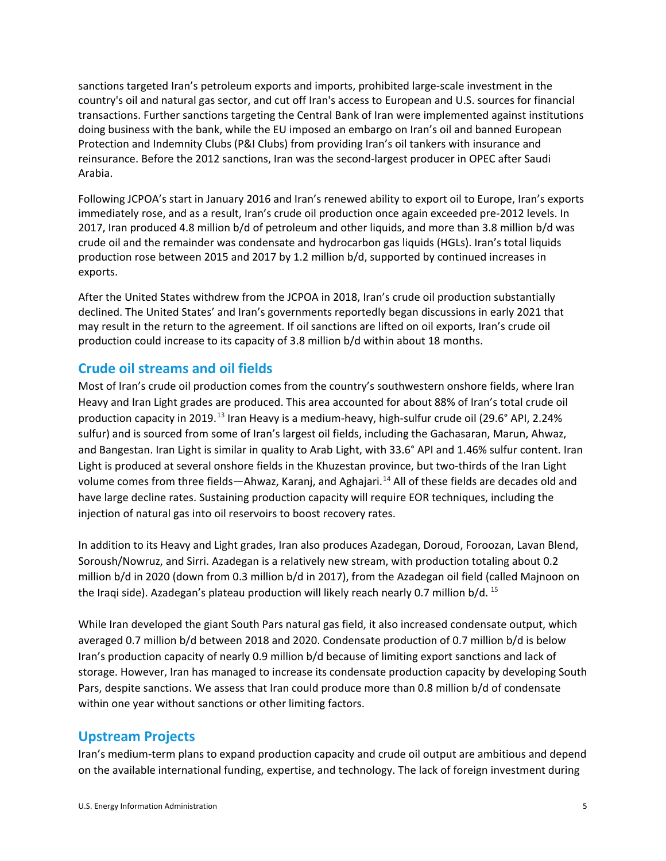sanctions targeted Iran's petroleum exports and imports, prohibited large-scale investment in the country's oil and natural gas sector, and cut off Iran's access to European and U.S. sources for financial transactions. Further sanctions targeting the Central Bank of Iran were implemented against institutions doing business with the bank, while the EU imposed an embargo on Iran's oil and banned European Protection and Indemnity Clubs (P&I Clubs) from providing Iran's oil tankers with insurance and reinsurance. Before the 2012 sanctions, Iran was the second-largest producer in OPEC after Saudi Arabia.

Following JCPOA's start in January 2016 and Iran's renewed ability to export oil to Europe, Iran's exports immediately rose, and as a result, Iran's crude oil production once again exceeded pre-2012 levels. In 2017, Iran produced 4.8 million b/d of petroleum and other liquids, and more than 3.8 million b/d was crude oil and the remainder was condensate and hydrocarbon gas liquids (HGLs). Iran's total liquids production rose between 2015 and 2017 by 1.2 million b/d, supported by continued increases in exports.

After the United States withdrew from the JCPOA in 2018, Iran's crude oil production substantially declined. The United States' and Iran's governments reportedly began discussions in early 2021 that may result in the return to the agreement. If oil sanctions are lifted on oil exports, Iran's crude oil production could increase to its capacity of 3.8 million b/d within about 18 months.

### **Crude oil streams and oil fields**

Most of Iran's crude oil production comes from the country's southwestern onshore fields, where Iran Heavy and Iran Light grades are produced. This area accounted for about 88% of Iran's total crude oil production capacity in 2019.<sup>[13](#page-13-12)</sup> Iran Heavy is a medium-heavy, high-sulfur crude oil (29.6° API, 2.24% sulfur) and is sourced from some of Iran's largest oil fields, including the Gachasaran, Marun, Ahwaz, and Bangestan. Iran Light is similar in quality to Arab Light, with 33.6° API and 1.46% sulfur content. Iran Light is produced at several onshore fields in the Khuzestan province, but two-thirds of the Iran Light volume comes from three fields—Ahwaz, Karanj, and Aghajari.<sup>[14](#page-13-13)</sup> All of these fields are decades old and have large decline rates. Sustaining production capacity will require EOR techniques, including the injection of natural gas into oil reservoirs to boost recovery rates.

In addition to its Heavy and Light grades, Iran also produces Azadegan, Doroud, Foroozan, Lavan Blend, Soroush/Nowruz, and Sirri. Azadegan is a relatively new stream, with production totaling about 0.2 million b/d in 2020 (down from 0.3 million b/d in 2017), from the Azadegan oil field (called Majnoon on the Iraqi side). Azadegan's plateau production will likely reach nearly 0.7 million b/d. <sup>[15](#page-13-14)</sup>

While Iran developed the giant South Pars natural gas field, it also increased condensate output, which averaged 0.7 million b/d between 2018 and 2020. Condensate production of 0.7 million b/d is below Iran's production capacity of nearly 0.9 million b/d because of limiting export sanctions and lack of storage. However, Iran has managed to increase its condensate production capacity by developing South Pars, despite sanctions. We assess that Iran could produce more than 0.8 million b/d of condensate within one year without sanctions or other limiting factors.

### **Upstream Projects**

Iran's medium-term plans to expand production capacity and crude oil output are ambitious and depend on the available international funding, expertise, and technology. The lack of foreign investment during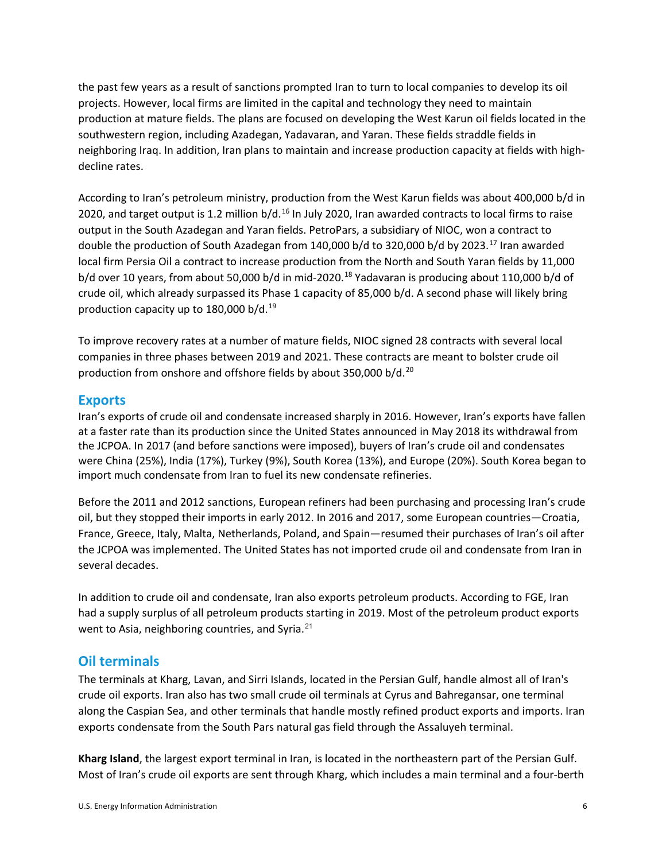the past few years as a result of sanctions prompted Iran to turn to local companies to develop its oil projects. However, local firms are limited in the capital and technology they need to maintain production at mature fields. The plans are focused on developing the West Karun oil fields located in the southwestern region, including Azadegan, Yadavaran, and Yaran. These fields straddle fields in neighboring Iraq. In addition, Iran plans to maintain and increase production capacity at fields with highdecline rates.

According to Iran's petroleum ministry, production from the West Karun fields was about 400,000 b/d in 2020, and target output is 1.2 million  $b/d$ .<sup>[16](#page-13-15)</sup> In July 2020, Iran awarded contracts to local firms to raise output in the South Azadegan and Yaran fields. PetroPars, a subsidiary of NIOC, won a contract to double the production of South Azadegan from 140,000 b/d to 320,000 b/d by 2023.<sup>[17](#page-13-16)</sup> Iran awarded local firm Persia Oil a contract to increase production from the North and South Yaran fields by 11,000 b/d over 10 years, from about 50,000 b/d in mid-2020.<sup>[18](#page-13-17)</sup> Yadavaran is producing about 110,000 b/d of crude oil, which already surpassed its Phase 1 capacity of 85,000 b/d. A second phase will likely bring production capacity up to 180,000 b/d.<sup>[19](#page-13-18)</sup>

To improve recovery rates at a number of mature fields, NIOC signed 28 contracts with several local companies in three phases between 2019 and 2021. These contracts are meant to bolster crude oil production from onshore and offshore fields by about 350,000 b/d.[20](#page-13-19)

#### **Exports**

Iran's exports of crude oil and condensate increased sharply in 2016. However, Iran's exports have fallen at a faster rate than its production since the United States announced in May 2018 its withdrawal from the JCPOA. In 2017 (and before sanctions were imposed), buyers of Iran's crude oil and condensates were China (25%), India (17%), Turkey (9%), South Korea (13%), and Europe (20%). South Korea began to import much condensate from Iran to fuel its new condensate refineries.

Before the 2011 and 2012 sanctions, European refiners had been purchasing and processing Iran's crude oil, but they stopped their imports in early 2012. In 2016 and 2017, some European countries—Croatia, France, Greece, Italy, Malta, Netherlands, Poland, and Spain—resumed their purchases of Iran's oil after the JCPOA was implemented. The United States has not imported crude oil and condensate from Iran in several decades.

In addition to crude oil and condensate, Iran also exports petroleum products. According to FGE, Iran had a supply surplus of all petroleum products starting in 2019. Most of the petroleum product exports went to Asia, neighboring countries, and Syria. $^{21}$  $^{21}$  $^{21}$ 

#### **Oil terminals**

The terminals at Kharg, Lavan, and Sirri Islands, located in the Persian Gulf, handle almost all of Iran's crude oil exports. Iran also has two small crude oil terminals at Cyrus and Bahregansar, one terminal along the Caspian Sea, and other terminals that handle mostly refined product exports and imports. Iran exports condensate from the South Pars natural gas field through the Assaluyeh terminal.

**Kharg Island**, the largest export terminal in Iran, is located in the northeastern part of the Persian Gulf. Most of Iran's crude oil exports are sent through Kharg, which includes a main terminal and a four-berth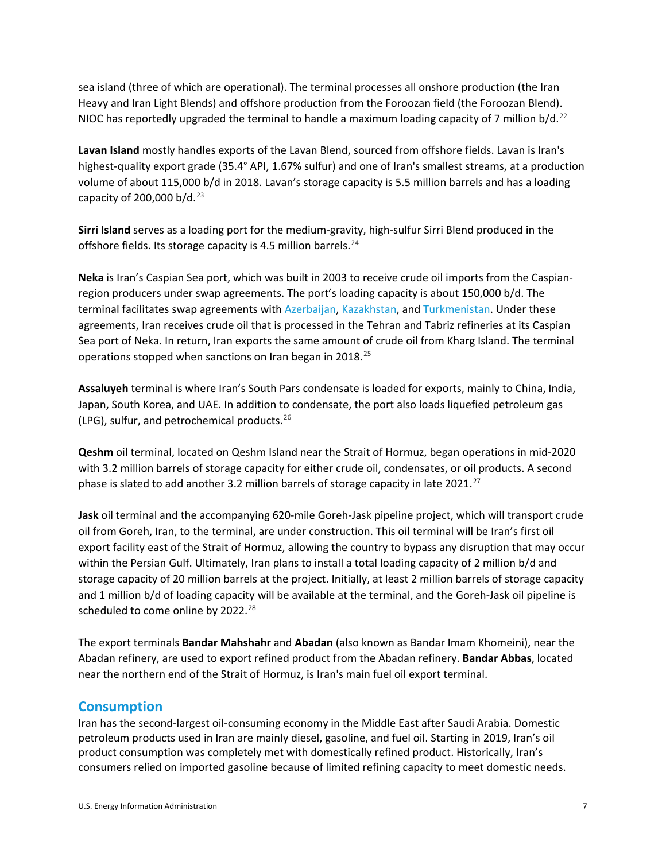sea island (three of which are operational). The terminal processes all onshore production (the Iran Heavy and Iran Light Blends) and offshore production from the Foroozan field (the Foroozan Blend). NIOC has reportedly upgraded the terminal to handle a maximum loading capacity of 7 million  $b/d<sup>22</sup>$  $b/d<sup>22</sup>$  $b/d<sup>22</sup>$ 

**Lavan Island** mostly handles exports of the Lavan Blend, sourced from offshore fields. Lavan is Iran's highest-quality export grade (35.4° API, 1.67% sulfur) and one of Iran's smallest streams, at a production volume of about 115,000 b/d in 2018. Lavan's storage capacity is 5.5 million barrels and has a loading capacity of 200,000 b/d. $23$ 

**Sirri Island** serves as a loading port for the medium-gravity, high-sulfur Sirri Blend produced in the offshore fields. Its storage capacity is 4.5 million barrels.<sup>[24](#page-13-23)</sup>

**Neka** is Iran's Caspian Sea port, which was built in 2003 to receive crude oil imports from the Caspianregion producers under swap agreements. The port's loading capacity is about 150,000 b/d. The terminal facilitates swap agreements with [Azerbaijan,](https://www.eia.gov/international/analysis/country/AZE) [Kazakhstan,](https://www.eia.gov/international/analysis/country/KAZ) and [Turkmenistan.](https://www.eia.gov/international/analysis/country/TKM) Under these agreements, Iran receives crude oil that is processed in the Tehran and Tabriz refineries at its Caspian Sea port of Neka. In return, Iran exports the same amount of crude oil from Kharg Island. The terminal operations stopped when sanctions on Iran began in 2018.<sup>[25](#page-13-24)</sup>

**Assaluyeh** terminal is where Iran's South Pars condensate is loaded for exports, mainly to China, India, Japan, South Korea, and UAE. In addition to condensate, the port also loads liquefied petroleum gas (LPG), sulfur, and petrochemical products.  $26$ 

**Qeshm** oil terminal, located on Qeshm Island near the Strait of Hormuz, began operations in mid-2020 with 3.2 million barrels of storage capacity for either crude oil, condensates, or oil products. A second phase is slated to add another 3.2 million barrels of storage capacity in late 2021.<sup>[27](#page-14-0)</sup>

**Jask** oil terminal and the accompanying 620-mile Goreh-Jask pipeline project, which will transport crude oil from Goreh, Iran, to the terminal, are under construction. This oil terminal will be Iran's first oil export facility east of the Strait of Hormuz, allowing the country to bypass any disruption that may occur within the Persian Gulf. Ultimately, Iran plans to install a total loading capacity of 2 million b/d and storage capacity of 20 million barrels at the project. Initially, at least 2 million barrels of storage capacity and 1 million b/d of loading capacity will be available at the terminal, and the Goreh-Jask oil pipeline is scheduled to come online by 2022.<sup>[28](#page-14-1)</sup>

The export terminals **Bandar Mahshahr** and **Abadan** (also known as Bandar Imam Khomeini), near the Abadan refinery, are used to export refined product from the Abadan refinery. **Bandar Abbas**, located near the northern end of the Strait of Hormuz, is Iran's main fuel oil export terminal.

#### **Consumption**

Iran has the second-largest oil-consuming economy in the Middle East after Saudi Arabia. Domestic petroleum products used in Iran are mainly diesel, gasoline, and fuel oil. Starting in 2019, Iran's oil product consumption was completely met with domestically refined product. Historically, Iran's consumers relied on imported gasoline because of limited refining capacity to meet domestic needs.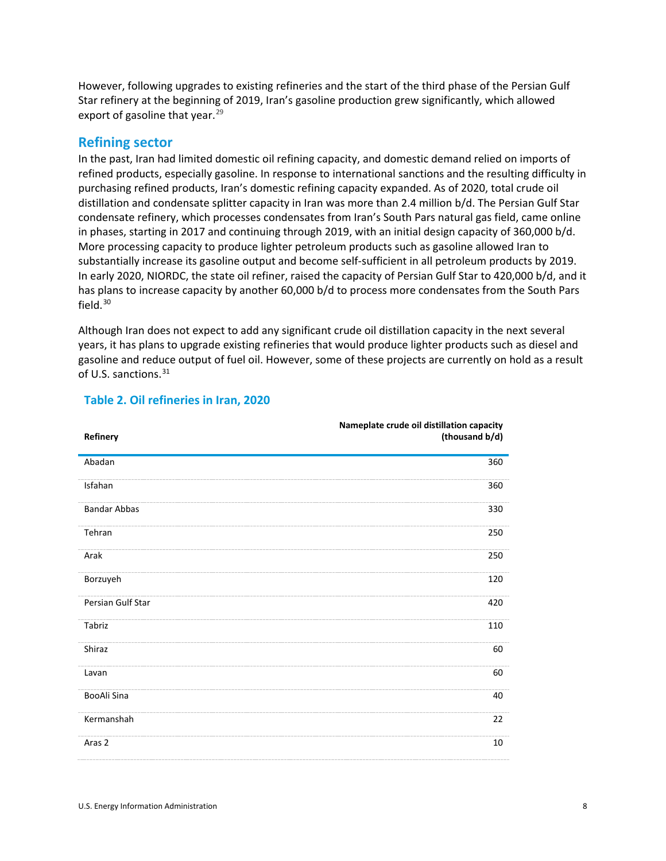However, following upgrades to existing refineries and the start of the third phase of the Persian Gulf Star refinery at the beginning of 2019, Iran's gasoline production grew significantly, which allowed export of gasoline that year.<sup>[29](#page-14-2)</sup>

#### **Refining sector**

In the past, Iran had limited domestic oil refining capacity, and domestic demand relied on imports of refined products, especially gasoline. In response to international sanctions and the resulting difficulty in purchasing refined products, Iran's domestic refining capacity expanded. As of 2020, total crude oil distillation and condensate splitter capacity in Iran was more than 2.4 million b/d. The Persian Gulf Star condensate refinery, which processes condensates from Iran's South Pars natural gas field, came online in phases, starting in 2017 and continuing through 2019, with an initial design capacity of 360,000 b/d. More processing capacity to produce lighter petroleum products such as gasoline allowed Iran to substantially increase its gasoline output and become self-sufficient in all petroleum products by 2019. In early 2020, NIORDC, the state oil refiner, raised the capacity of Persian Gulf Star to 420,000 b/d, and it has plans to increase capacity by another 60,000 b/d to process more condensates from the South Pars field. [30](#page-14-3)

Although Iran does not expect to add any significant crude oil distillation capacity in the next several years, it has plans to upgrade existing refineries that would produce lighter products such as diesel and gasoline and reduce output of fuel oil. However, some of these projects are currently on hold as a result of U.S. sanctions.<sup>[31](#page-14-4)</sup>

| Refinery            | Nameplate crude oil distillation capacity<br>(thousand b/d) |
|---------------------|-------------------------------------------------------------|
| Abadan              | 360                                                         |
| Isfahan             | 360                                                         |
| <b>Bandar Abbas</b> | 330                                                         |
| Tehran              | 250                                                         |
| Arak                | 250                                                         |
| Borzuyeh            | 120                                                         |
| Persian Gulf Star   | 420                                                         |
| Tabriz              | 110                                                         |
| Shiraz              | 60                                                          |
| Lavan               | 60                                                          |
| BooAli Sina         | 40                                                          |
| Kermanshah          | 22                                                          |
| Aras <sub>2</sub>   | 10                                                          |

#### **Table 2. Oil refineries in Iran, 2020**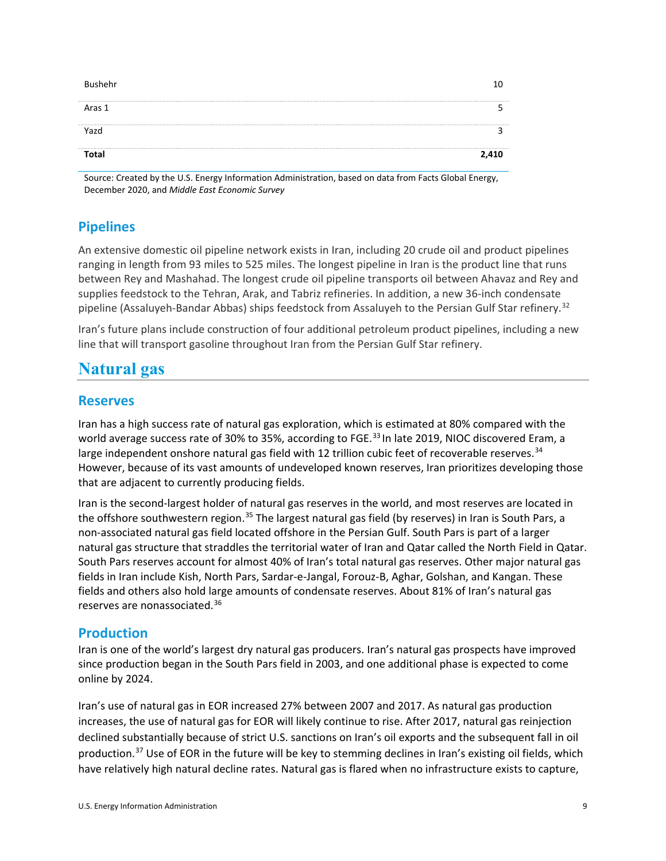| Bushehr      | 10    |
|--------------|-------|
| Aras 1       |       |
| Yazd         |       |
| <b>Total</b> | 2,410 |

Source: Created by the U.S. Energy Information Administration, based on data from Facts Global Energy, December 2020, and *Middle East Economic Survey*

## **Pipelines**

An extensive domestic oil pipeline network exists in Iran, including 20 crude oil and product pipelines ranging in length from 93 miles to 525 miles. The longest pipeline in Iran is the product line that runs between Rey and Mashahad. The longest crude oil pipeline transports oil between Ahavaz and Rey and supplies feedstock to the Tehran, Arak, and Tabriz refineries. In addition, a new 36-inch condensate pipeline (Assaluyeh-Bandar Abbas) ships feedstock from Assaluyeh to the Persian Gulf Star refinery.<sup>[32](#page-14-5)</sup>

Iran's future plans include construction of four additional petroleum product pipelines, including a new line that will transport gasoline throughout Iran from the Persian Gulf Star refinery.

# **Natural gas**

### **Reserves**

Iran has a high success rate of natural gas exploration, which is estimated at 80% compared with the world average success rate of 30% to 35%, according to FGE.<sup>[33](#page-14-6)</sup> In late 2019, NIOC discovered Eram, a large independent onshore natural gas field with 12 trillion cubic feet of recoverable reserves.<sup>[34](#page-14-7)</sup> However, because of its vast amounts of undeveloped known reserves, Iran prioritizes developing those that are adjacent to currently producing fields.

Iran is the second-largest holder of natural gas reserves in the world, and most reserves are located in the offshore southwestern region.<sup>[35](#page-14-8)</sup> The largest natural gas field (by reserves) in Iran is South Pars, a non-associated natural gas field located offshore in the Persian Gulf. South Pars is part of a larger natural gas structure that straddles the territorial water of Iran and Qatar called the North Field in Qatar. South Pars reserves account for almost 40% of Iran's total natural gas reserves. Other major natural gas fields in Iran include Kish, North Pars, Sardar-e-Jangal, Forouz-B, Aghar, Golshan, and Kangan. These fields and others also hold large amounts of condensate reserves. About 81% of Iran's natural gas reserves are nonassociated.<sup>[36](#page-14-9)</sup>

### **Production**

Iran is one of the world's largest dry natural gas producers. Iran's natural gas prospects have improved since production began in the South Pars field in 2003, and one additional phase is expected to come online by 2024.

Iran's use of natural gas in EOR increased 27% between 2007 and 2017. As natural gas production increases, the use of natural gas for EOR will likely continue to rise. After 2017, natural gas reinjection declined substantially because of strict U.S. sanctions on Iran's oil exports and the subsequent fall in oil production.<sup>[37](#page-14-10)</sup> Use of EOR in the future will be key to stemming declines in Iran's existing oil fields, which have relatively high natural decline rates. Natural gas is flared when no infrastructure exists to capture,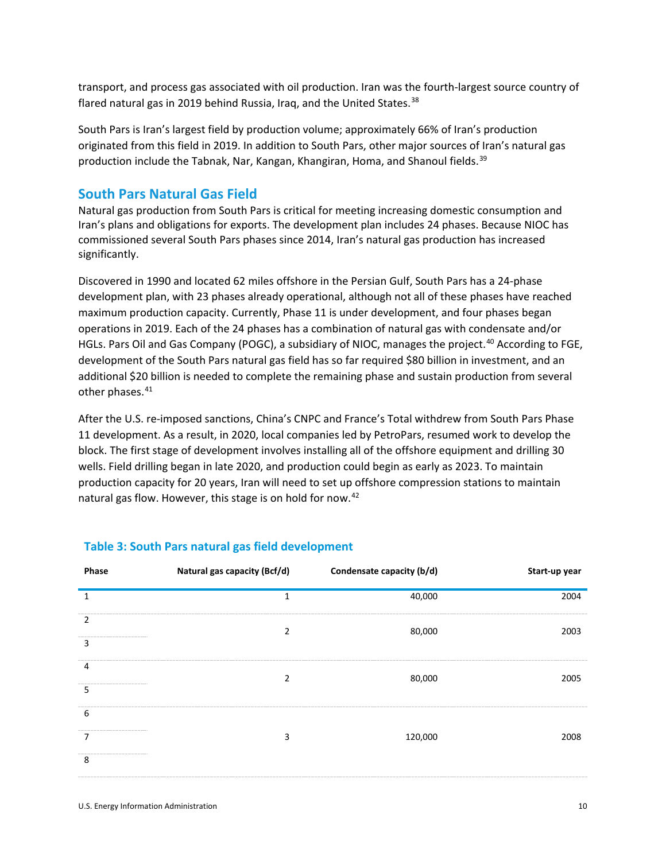transport, and process gas associated with oil production. Iran was the fourth-largest source country of flared natural gas in 2019 behind Russia, Iraq, and the United States.<sup>[38](#page-14-11)</sup>

South Pars is Iran's largest field by production volume; approximately 66% of Iran's production originated from this field in 2019. In addition to South Pars, other major sources of Iran's natural gas production include the Tabnak, Nar, Kangan, Khangiran, Homa, and Shanoul fields.<sup>[39](#page-14-12)</sup>

#### **South Pars Natural Gas Field**

Natural gas production from South Pars is critical for meeting increasing domestic consumption and Iran's plans and obligations for exports. The development plan includes 24 phases. Because NIOC has commissioned several South Pars phases since 2014, Iran's natural gas production has increased significantly.

Discovered in 1990 and located 62 miles offshore in the Persian Gulf, South Pars has a 24-phase development plan, with 23 phases already operational, although not all of these phases have reached maximum production capacity. Currently, Phase 11 is under development, and four phases began operations in 2019. Each of the 24 phases has a combination of natural gas with condensate and/or HGLs. Pars Oil and Gas Company (POGC), a subsidiary of NIOC, manages the project.<sup>[40](#page-14-13)</sup> According to FGE, development of the South Pars natural gas field has so far required \$80 billion in investment, and an additional \$20 billion is needed to complete the remaining phase and sustain production from several other phases. [41](#page-14-14)

After the U.S. re-imposed sanctions, China's CNPC and France's Total withdrew from South Pars Phase 11 development. As a result, in 2020, local companies led by PetroPars, resumed work to develop the block. The first stage of development involves installing all of the offshore equipment and drilling 30 wells. Field drilling began in late 2020, and production could begin as early as 2023. To maintain production capacity for 20 years, Iran will need to set up offshore compression stations to maintain natural gas flow. However, this stage is on hold for now.<sup>[42](#page-14-15)</sup>

| Phase  | Natural gas capacity (Bcf/d) | Condensate capacity (b/d) | Start-up year |
|--------|------------------------------|---------------------------|---------------|
| 1      | 1                            | 40,000                    | 2004          |
| 2<br>3 | $\overline{2}$               | 80,000                    | 2003          |
| 4<br>5 | っ                            | 80,000                    | 2005          |
| 6      | 3                            | 120,000                   | 2008          |
| 8      |                              |                           |               |

#### **Table 3: South Pars natural gas field development**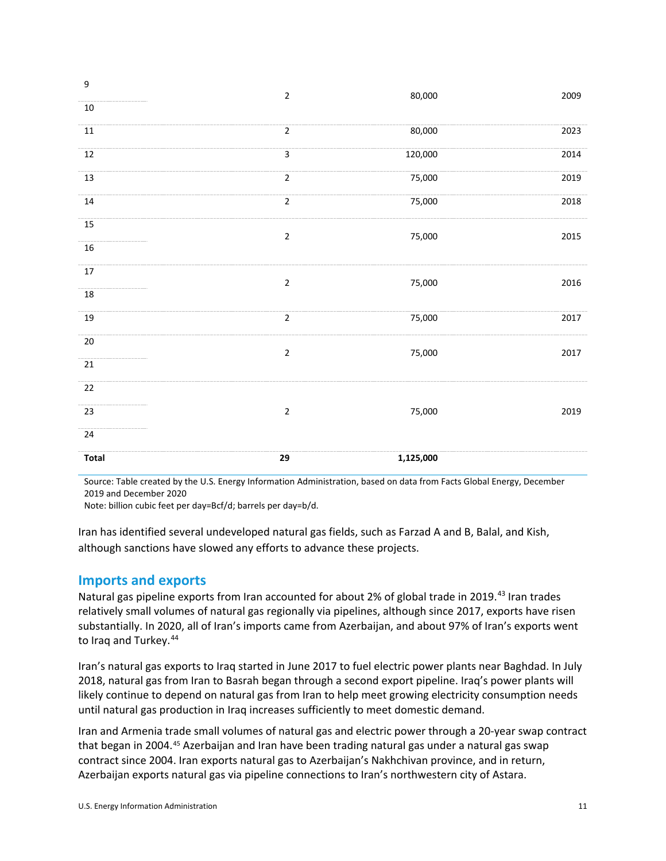| Total  | 29             | 1,125,000 |      |
|--------|----------------|-----------|------|
| 24     |                |           |      |
| 23     | $\mathbf 2$    | 75,000    | 2019 |
| 22     |                |           |      |
| $21\,$ |                |           |      |
| $20\,$ | $\mathbf 2$    | 75,000    | 2017 |
| $19\,$ | $\overline{2}$ | 75,000    | 2017 |
| $18\,$ |                |           |      |
| $17\,$ | $\mathbf 2$    | 75,000    | 2016 |
| $16\,$ |                |           |      |
| 15     | $\mathbf 2$    | 75,000    | 2015 |
| $14\,$ | $\overline{2}$ | 75,000    | 2018 |
| $13\,$ | $\overline{2}$ | 75,000    | 2019 |
| $12\,$ | $\mathbf{3}$   | 120,000   | 2014 |
| $11\,$ | $\overline{2}$ | 80,000    | 2023 |
| $10\,$ |                |           |      |
| 9      | $\mathbf 2$    | 80,000    | 2009 |

Source: Table created by the U.S. Energy Information Administration, based on data from Facts Global Energy, December 2019 and December 2020

Note: billion cubic feet per day=Bcf/d; barrels per day=b/d.

Iran has identified several undeveloped natural gas fields, such as Farzad A and B, Balal, and Kish, although sanctions have slowed any efforts to advance these projects.

#### **Imports and exports**

Natural gas pipeline exports from Iran accounted for about 2% of global trade in 2019.<sup>[43](#page-14-16)</sup> Iran trades relatively small volumes of natural gas regionally via pipelines, although since 2017, exports have risen substantially. In 2020, all of Iran's imports came from Azerbaijan, and about 97% of Iran's exports went to Iraq and Turkey.<sup>[44](#page-14-17)</sup>

Iran's natural gas exports to Iraq started in June 2017 to fuel electric power plants near Baghdad. In July 2018, natural gas from Iran to Basrah began through a second export pipeline. Iraq's power plants will likely continue to depend on natural gas from Iran to help meet growing electricity consumption needs until natural gas production in Iraq increases sufficiently to meet domestic demand.

Iran and Armenia trade small volumes of natural gas and electric power through a 20-year swap contract that began in 2004.<sup>[45](#page-14-18)</sup> Azerbaijan and Iran have been trading natural gas under a natural gas swap contract since 2004. Iran exports natural gas to Azerbaijan's Nakhchivan province, and in return, Azerbaijan exports natural gas via pipeline connections to Iran's northwestern city of Astara.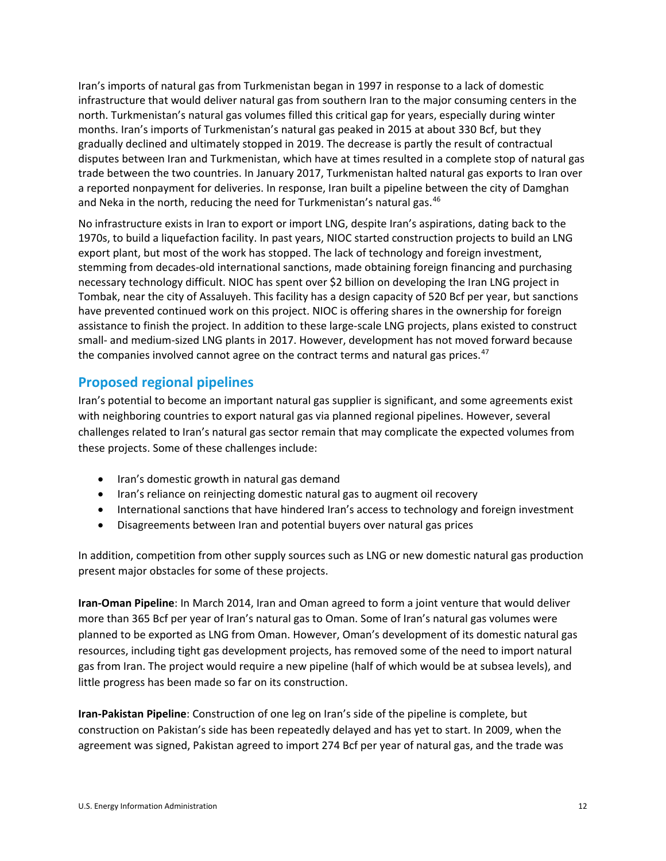Iran's imports of natural gas from Turkmenistan began in 1997 in response to a lack of domestic infrastructure that would deliver natural gas from southern Iran to the major consuming centers in the north. Turkmenistan's natural gas volumes filled this critical gap for years, especially during winter months. Iran's imports of Turkmenistan's natural gas peaked in 2015 at about 330 Bcf, but they gradually declined and ultimately stopped in 2019. The decrease is partly the result of contractual disputes between Iran and Turkmenistan, which have at times resulted in a complete stop of natural gas trade between the two countries. In January 2017, Turkmenistan halted natural gas exports to Iran over a reported nonpayment for deliveries. In response, Iran built a pipeline between the city of Damghan and Neka in the north, reducing the need for Turkmenistan's natural gas.<sup>[46](#page-14-19)</sup>

No infrastructure exists in Iran to export or import LNG, despite Iran's aspirations, dating back to the 1970s, to build a liquefaction facility. In past years, NIOC started construction projects to build an LNG export plant, but most of the work has stopped. The lack of technology and foreign investment, stemming from decades-old international sanctions, made obtaining foreign financing and purchasing necessary technology difficult. NIOC has spent over \$2 billion on developing the Iran LNG project in Tombak, near the city of Assaluyeh. This facility has a design capacity of 520 Bcf per year, but sanctions have prevented continued work on this project. NIOC is offering shares in the ownership for foreign assistance to finish the project. In addition to these large-scale LNG projects, plans existed to construct small- and medium-sized LNG plants in 2017. However, development has not moved forward because the companies involved cannot agree on the contract terms and natural gas prices.<sup>[47](#page-14-20)</sup>

### **Proposed regional pipelines**

Iran's potential to become an important natural gas supplier is significant, and some agreements exist with neighboring countries to export natural gas via planned regional pipelines. However, several challenges related to Iran's natural gas sector remain that may complicate the expected volumes from these projects. Some of these challenges include:

- Iran's domestic growth in natural gas demand
- Iran's reliance on reinjecting domestic natural gas to augment oil recovery
- International sanctions that have hindered Iran's access to technology and foreign investment
- Disagreements between Iran and potential buyers over natural gas prices

In addition, competition from other supply sources such as LNG or new domestic natural gas production present major obstacles for some of these projects.

**Iran-Oman Pipeline**: In March 2014, Iran and Oman agreed to form a joint venture that would deliver more than 365 Bcf per year of Iran's natural gas to Oman. Some of Iran's natural gas volumes were planned to be exported as LNG from Oman. However, Oman's development of its domestic natural gas resources, including tight gas development projects, has removed some of the need to import natural gas from Iran. The project would require a new pipeline (half of which would be at subsea levels), and little progress has been made so far on its construction.

**Iran-Pakistan Pipeline**: Construction of one leg on Iran's side of the pipeline is complete, but construction on Pakistan's side has been repeatedly delayed and has yet to start. In 2009, when the agreement was signed, Pakistan agreed to import 274 Bcf per year of natural gas, and the trade was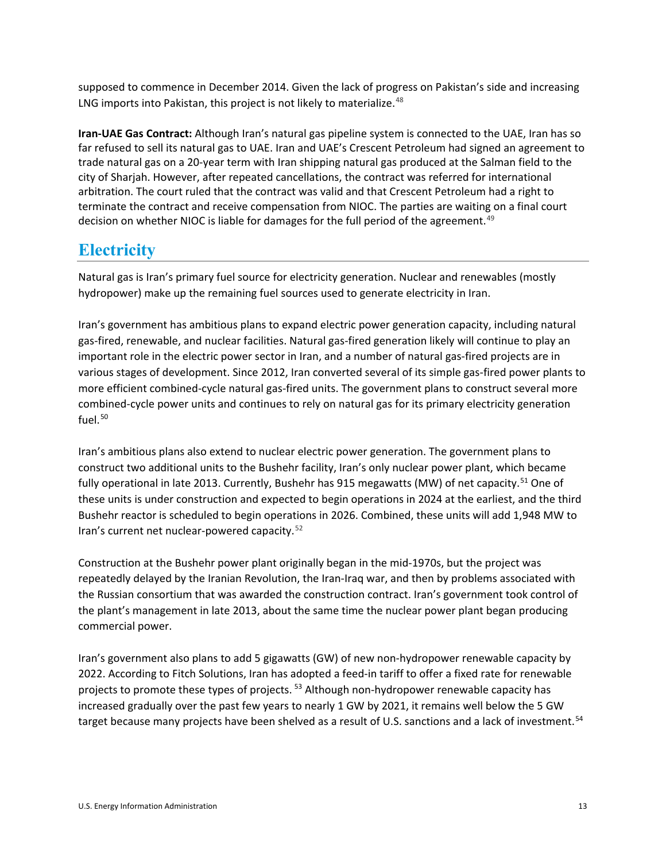supposed to commence in December 2014. Given the lack of progress on Pakistan's side and increasing LNG imports into Pakistan, this project is not likely to materialize.<sup>[48](#page-14-21)</sup>

**Iran-UAE Gas Contract:** Although Iran's natural gas pipeline system is connected to the UAE, Iran has so far refused to sell its natural gas to UAE. Iran and UAE's Crescent Petroleum had signed an agreement to trade natural gas on a 20-year term with Iran shipping natural gas produced at the Salman field to the city of Sharjah. However, after repeated cancellations, the contract was referred for international arbitration. The court ruled that the contract was valid and that Crescent Petroleum had a right to terminate the contract and receive compensation from NIOC. The parties are waiting on a final court decision on whether NIOC is liable for damages for the full period of the agreement.<sup>[49](#page-14-22)</sup>

# **Electricity**

Natural gas is Iran's primary fuel source for electricity generation. Nuclear and renewables (mostly hydropower) make up the remaining fuel sources used to generate electricity in Iran.

Iran's government has ambitious plans to expand electric power generation capacity, including natural gas-fired, renewable, and nuclear facilities. Natural gas-fired generation likely will continue to play an important role in the electric power sector in Iran, and a number of natural gas-fired projects are in various stages of development. Since 2012, Iran converted several of its simple gas-fired power plants to more efficient combined-cycle natural gas-fired units. The government plans to construct several more combined-cycle power units and continues to rely on natural gas for its primary electricity generation fuel. $50$ 

Iran's ambitious plans also extend to nuclear electric power generation. The government plans to construct two additional units to the Bushehr facility, Iran's only nuclear power plant, which became fully operational in late 2013. Currently, Bushehr has 915 megawatts (MW) of net capacity.<sup>[51](#page-14-24)</sup> One of these units is under construction and expected to begin operations in 2024 at the earliest, and the third Bushehr reactor is scheduled to begin operations in 2026. Combined, these units will add 1,948 MW to Iran's current net nuclear-powered capacity.[52](#page-14-25)

Construction at the Bushehr power plant originally began in the mid-1970s, but the project was repeatedly delayed by the Iranian Revolution, the Iran-Iraq war, and then by problems associated with the Russian consortium that was awarded the construction contract. Iran's government took control of the plant's management in late 2013, about the same time the nuclear power plant began producing commercial power.

Iran's government also plans to add 5 gigawatts (GW) of new non-hydropower renewable capacity by 2022. According to Fitch Solutions, Iran has adopted a feed-in tariff to offer a fixed rate for renewable projects to promote these types of projects.<sup>[53](#page-14-26)</sup> Although non-hydropower renewable capacity has increased gradually over the past few years to nearly 1 GW by 2021, it remains well below the 5 GW target because many projects have been shelved as a result of U.S. sanctions and a lack of investment.<sup>[54](#page-14-27)</sup>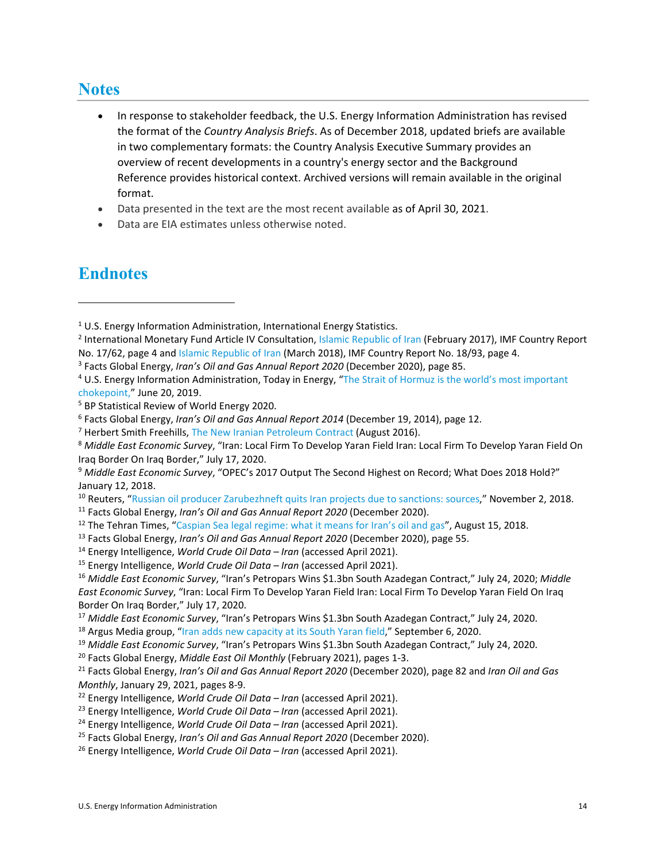# **Notes**

- In response to stakeholder feedback, the U.S. Energy Information Administration has revised the format of the *Country Analysis Briefs*. As of December 2018, updated briefs are available in two complementary formats: the Country Analysis Executive Summary provides an overview of recent developments in a country's energy sector and the Background Reference provides historical context. Archived versions will remain available in the original format.
- Data presented in the text are the most recent available as of April 30, 2021.
- Data are EIA estimates unless otherwise noted.

# **Endnotes**

l

<span id="page-13-2"></span><sup>3</sup> Facts Global Energy, *Iran's Oil and Gas Annual Report 2020* (December 2020), page 85.

- <span id="page-13-13"></span><sup>14</sup> Energy Intelligence, *World Crude Oil Data – Iran* (accessed April 2021).
- <span id="page-13-14"></span><sup>15</sup> Energy Intelligence, *World Crude Oil Data – Iran* (accessed April 2021).

<span id="page-13-19"></span><sup>20</sup> Facts Global Energy, *Middle East Oil Monthly* (February 2021), pages 1-3.

- <span id="page-13-21"></span><sup>22</sup> Energy Intelligence, *World Crude Oil Data – Iran* (accessed April 2021).
- <span id="page-13-22"></span><sup>23</sup> Energy Intelligence, *World Crude Oil Data – Iran* (accessed April 2021).
- <span id="page-13-23"></span><sup>24</sup> Energy Intelligence, *World Crude Oil Data – Iran* (accessed April 2021).
- <span id="page-13-24"></span><sup>25</sup> Facts Global Energy, *Iran's Oil and Gas Annual Report 2020* (December 2020).
- <span id="page-13-25"></span><sup>26</sup> Energy Intelligence, *World Crude Oil Data – Iran* (accessed April 2021).

<span id="page-13-0"></span><sup>&</sup>lt;sup>1</sup> U.S. Energy Information Administration, International Energy Statistics.

<span id="page-13-1"></span><sup>&</sup>lt;sup>2</sup> International Monetary Fund Article IV Consultation, Islamic [Republic](https://www.imf.org/en/Publications/CR/Issues/2017/02/27/Islamic-Republic-of-Iran-2016-Article-IV-Consultation-Press-Release-Staff-Report-and-44707) of Iran (February 2017), IMF Country Report No. 17/62, page 4 an[d Islamic Republic of Iran](https://www.imf.org/en/Publications/CR/Issues/2018/03/29/Islamic-Republic-of-Iran-2018-Article-IV-Consultation-Press-Release-Staff-Report-and-45767) (March 2018), IMF Country Report No. 18/93, page 4.

<span id="page-13-3"></span><sup>4</sup> U.S. Energy Information Administration, Today in Energy, ["The Strait of Hormuz is the world's most important](https://www.eia.gov/todayinenergy/detail.php?id=39932)  [chokepoint,](https://www.eia.gov/todayinenergy/detail.php?id=39932)" June 20, 2019.

<span id="page-13-4"></span><sup>5</sup> BP Statistical Review of World Energy 2020.

<span id="page-13-5"></span><sup>6</sup> Facts Global Energy, *Iran's Oil and Gas Annual Report 2014* (December 19, 2014), page 12.

<span id="page-13-6"></span><sup>7</sup> Herbert Smith Freehills, [The New Iranian Petroleum Contract](https://www.herbertsmithfreehills.com/latest-thinking/the-new-iranian-petroleum-contract-%E2%80%93-government-approval) (August 2016).

<span id="page-13-7"></span><sup>8</sup> *Middle East Economic Survey*, "Iran: Local Firm To Develop Yaran Field Iran: Local Firm To Develop Yaran Field On Iraq Border On Iraq Border," July 17, 2020.

<span id="page-13-8"></span><sup>9</sup> *Middle East Economic Survey*, "OPEC's 2017 Output The Second Highest on Record; What Does 2018 Hold?" January 12, 2018.

<span id="page-13-9"></span><sup>&</sup>lt;sup>10</sup> Reuters, ["Russian oil producer Zarubezhneft quits Iran projects due to sanctions: sources,](https://www.reuters.com/article/us-iran-nuclear-russia-oil/russian-oil-producer-zarubezhneft-quits-iran-projects-due-to-sanctions-sources-idUSKCN1N71MV)" November 2, 2018.

<span id="page-13-10"></span><sup>11</sup> Facts Global Energy, *Iran's Oil and Gas Annual Report 2020* (December 2020).

<span id="page-13-11"></span><sup>&</sup>lt;sup>12</sup> The Tehran Times, ["Caspian Sea legal regime: what it means for Iran's oil and gas"](https://www.tehrantimes.com/news/426562/Caspian-Sea-legal-regime-what-it-means-for-Iran-s-oil-and-gas), August 15, 2018.

<span id="page-13-12"></span><sup>13</sup> Facts Global Energy, *Iran's Oil and Gas Annual Report 2020* (December 2020), page 55.

<span id="page-13-15"></span><sup>16</sup> *Middle East Economic Survey*, "Iran's Petropars Wins \$1.3bn South Azadegan Contract," July 24, 2020; *Middle East Economic Survey*, "Iran: Local Firm To Develop Yaran Field Iran: Local Firm To Develop Yaran Field On Iraq Border On Iraq Border," July 17, 2020.

<span id="page-13-16"></span><sup>17</sup> *Middle East Economic Survey*, "Iran's Petropars Wins \$1.3bn South Azadegan Contract," July 24, 2020.

<span id="page-13-17"></span><sup>&</sup>lt;sup>18</sup> Argus Media group, ["Iran adds new capacity at its South Yaran field,](https://www.argusmedia.com/en/news/2138986-iran-adds-new-capacity-at-its-south-yaran-field)" September 6, 2020.

<span id="page-13-18"></span><sup>19</sup> *Middle East Economic Survey*, "Iran's Petropars Wins \$1.3bn South Azadegan Contract," July 24, 2020.

<span id="page-13-20"></span><sup>21</sup> Facts Global Energy, *Iran's Oil and Gas Annual Report 2020* (December 2020), page 82 and *Iran Oil and Gas Monthly*, January 29, 2021, pages 8-9.